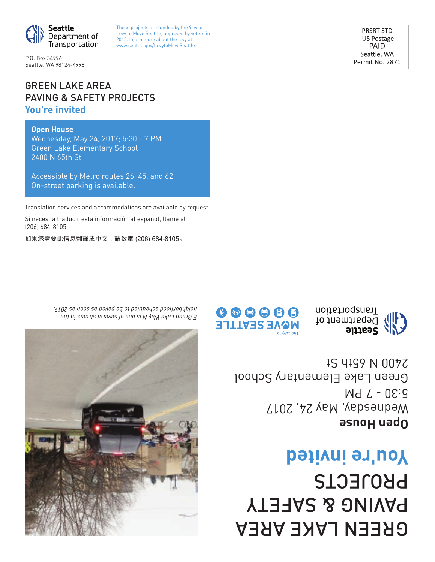# GREEN LAKE AREA PAVING & SAFETY PROJECTS **You're invited**

**Open House** Wednesday, May 24, 2017 5:30 - 7 PM Green Lake Elementary School 1S 4199 N 0077







GREEN LAKE AREA PAVING & SAFETY PROJECTS **You're invited**

## **Open House**

Wednesday, May 24, 2017; 5:30 - 7 PM Green Lake Elementary School 2400 N 65th St

Accessible by Metro routes 26, 45, and 62. On-street parking is available.

Translation services and accommodations are available by request.

Si necesita traducir esta información al español, llame al (206) 684-8105.

如果您需要此信息翻譯成中文,請致電 (206) 684-8105〪



*E Green Lake Way N is one of several streets in the neighborhood scheduled to be paved as soon as 2019.* 



P.O. Box 34996 Seattle, WA 98124-4996 These projects are funded by the 9-year Levy to Move Seattle, approved by voters in 2015. Learn more about the levy at www.seattle.gov/LevytoMoveSeattle.

PRSRT STD US Postage PAID Seattle, WA Permit No. 2871